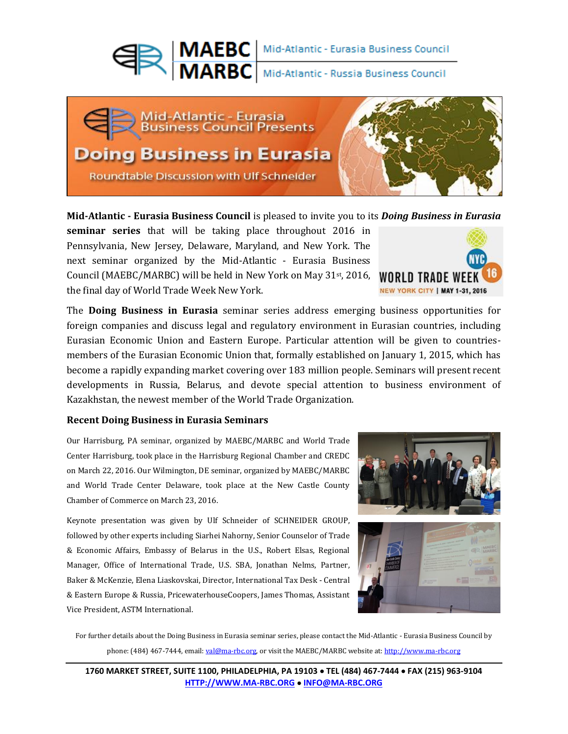



#### **Mid-Atlantic - Eurasia Business Council** is pleased to invite you to its *Doing Business in Eurasia*

**seminar series** that will be taking place throughout 2016 in Pennsylvania, New Jersey, Delaware, Maryland, and New York. The next seminar organized by the Mid-Atlantic - Eurasia Business Council (MAEBC/MARBC) will be held in New York on May 31st, 2016, the final day of World Trade Week New York.

The **Doing Business in Eurasia** seminar series address emerging business opportunities for foreign companies and discuss legal and regulatory environment in Eurasian countries, including Eurasian Economic Union and Eastern Europe. Particular attention will be given to countriesmembers of the Eurasian Economic Union that, formally established on January 1, 2015, which has become a rapidly expanding market covering over 183 million people. Seminars will present recent developments in Russia, Belarus, and devote special attention to business environment of Kazakhstan, the newest member of the World Trade Organization.

### **Recent Doing Business in Eurasia Seminars**

Our Harrisburg, PA seminar, organized by MAEBC/MARBC and World Trade Center Harrisburg, took place in the Harrisburg Regional Chamber and CREDC on March 22, 2016. Our Wilmington, DE seminar, organized by MAEBC/MARBC and World Trade Center Delaware, took place at the New Castle County Chamber of Commerce on March 23, 2016.

Keynote presentation was given by Ulf Schneider of SCHNEIDER GROUP, followed by other experts including Siarhei Nahorny, Senior Counselor of Trade & Economic Affairs, Embassy of Belarus in the U.S., Robert Elsas, Regional Manager, Office of International Trade, U.S. SBA, Jonathan Nelms, Partner, Baker & McKenzie, Elena Liaskovskai, Director, International Tax Desk - Central & Eastern Europe & Russia, PricewaterhouseCoopers, James Thomas, Assistant Vice President, ASTM International.



For further details about the Doing Business in Eurasia seminar series, please contact the Mid-Atlantic - Eurasia Business Council by phone: (484) 467-7444, email: [val@ma-rbc.org,](https://swatmail.swarthmore.edu/twig/index.php3?&twig_session=a%3A7%3A%7Bs%3A7%3A%22mailbox%22%3Bs%3A5%3A%22INBOX%22%3Bs%3A8%3A%22mailtree%22%3Bs%3A2%3A%220%7C%22%3Bs%3A9%3A%22mailGroup%22%3Bs%3A1%3A%22%2A%22%3Bs%3A6%3A%22sortby%22%3Bs%3A4%3A%252%20) or visit the MAEBC/MARBC website at: [http://www.ma-rbc.org](http://www.ma-rbc.org/)

**1760 MARKET STREET, SUITE 1100, PHILADELPHIA, PA 19103 TEL (484) 467-7444 FAX (215) 963-9104 HTTP://WWW.MA-RBC.ORG INFO@MA-RBC.ORG**